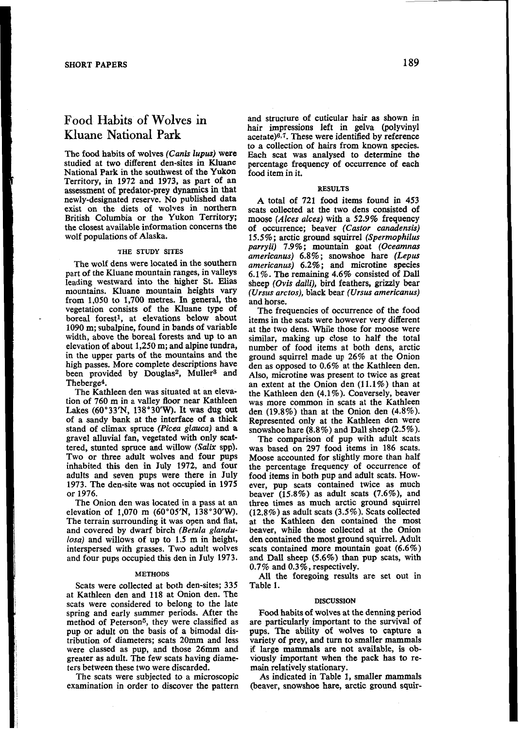# Food Habits **of Wolves** in **Kluane National Park**

The food habits of wolves **(Canis** *lupus)* were studied at two different den-sites in Kluane National Park in the southwest of the Yukon<br>Territory, in 1972 and 1973, as part of an assessment of predator-prey dynamics in that newly-designated reserve. No published data exist on the diets of wolves in northern British Columbia or the Yukon Territory; the closest available information concerns the wolf populations of Alaska.

# **THE STUDY SITES**

The wolf dens were located in the southern part of the Kluane mountain ranges, in valleys leading westward into the higher St. Elis mountains. Kluane mountain heights vary from **1,050** to **1,700** metres. In general, the vegetation consists of the Kluane type of boreal forest<sup>1</sup>, at elevations below about **1090** m; subalpine, found in bands of variable 1090 m; subalpine, found in bands of variable at the two dens. While those for moose were width, above the boreal forests and up to an elevation of about 1,250 m; and alpine tundra, number of food items at both dens, arcti in the upper parts of the mountains and the high passes. More complete descriptions have been provided by Douglas<sup>2</sup>, Muller<sup>3</sup> and Theberge<sup>4</sup>.

The Kathleen den was situated at an elevation of **760** m in a valley floor near Kathleen Lakes **(60"33'N, 138'30'W).** It was dug out of a sandy bank at the interface of **a** thick stand of climax spruce *(Picea glauca)* and a gravel alluvial fan, vegetated with only scattered, stunted spruce and willow *(Sdix* spp). Two or three adult wolves and four pups inhabited this den in July **1972, and** four adults and seven pups were there in July **1973.** The den-site **was** not occupied in **1975** or **1976.** 

elevation of 1,070 m (60°05'N, 138°30'W). The terrain surrounding it was open and flat, and covered by dwarf birch *(Betula glandulosa)* and willows of up to **1.5** m in height, interspersed with grasses. Two adult wolves and four pups occupied this den in July **1973.** 

### **METHODS**

Scats were collected at both den-sites; **335**  at Kathleen den and **118** at Onion den. The scats were considered to belong to the late spring and early summer periods. After the method of Peterson<sup>5</sup>, they were classified as pup or adult on the basis of a bimodal distribution of diameters; scats 20mm and less were classed as pup, and those **26mm** and greater as adult. The few scats having diameters between these two were discarded.

The scats were subjected to a microscopic examination in order to discover the pattern

and structure of cuticular hair **as** shown in hair impressions left in gelva (polyvinyl acetate) $6,7$ . These were identified by reference to a collection of hairs from known species. Each scat was analysed to determine the percentage frequency of occurrence of each food item in it.

# **RESULTS**

**A** total of **721** food items found in **453**  scats collected at the two dens consisted of moose *(Alces alces)* with a **52.9%** frequency of occurrence; beaver *(Castor canadensis)*  **15.5%;** arctic ground squirrel *(Spermophilus parryii)* **7.9%;** mountain goat *(Oceamnas americanus)* **6.8%;** snowshoe hare *(Lepus americanus)* **6.2%;** and microtine species **6.1** %. The remaining **4.6%** consisted of Dall sheep *(Ovis dalli),* bird feathers, grizzly bear *(Ursus arctos),* black bear *(Ursus americanus)*  and horse.

The frequencies of occurrence of the food items in the scats were however very different similar, making up close to half the total number of food items at both dens, arctic ground squirrel made up **26%** at the Onion den as opposed to **0.6%** at the Kathleen den. an extent at the Onion den  $(11.1\%)$  than at the Kathleen den **(4.1** %). Conversely, beaver was more common in scats at the Kathleen den **(19.8%)** than at the Onion den **(4.8%).**  Represented only at the Kathleen den were snowshoe hare *(8.8%)* and Dall sheep **(2.5%).** 

The comparison of pup with adult scats was based on **297** food items in **186** scats. Moose accounted for slightly more than half the percentage frequency of occurrence **of**  food items in both pup and adult scats. However, pup scats contained twice as much beaver **(15.8%) as** adult scats **(7.6%),** and three times as much arctic ground squirrel **(12.8%)** as adult scats **(3.5%).** Scats collected at he Kathleen den contained the most beaver, while those collected at the Onion den contained the most ground squirrel. Adult scats contained more mountain goat **(6.6%)**  and Dall sheep *(5.6%)* than pup scats, with **0.7%** and **0.3%,** respectively.

All the foregoing results are set out in Table **1.** 

#### **DISCUSSION**

**Food** habits of wolves at the denning period are particularly important to the survival of pups. The ability of wolves to capture a variety of prey, and turn to smaller mammals if large mammals are not available, **is** obviously important when the pack has to re- main relatively stationary.

As indicated in Table **1,** smaller mammals (beaver, snowshoe hare, arctic ground squir-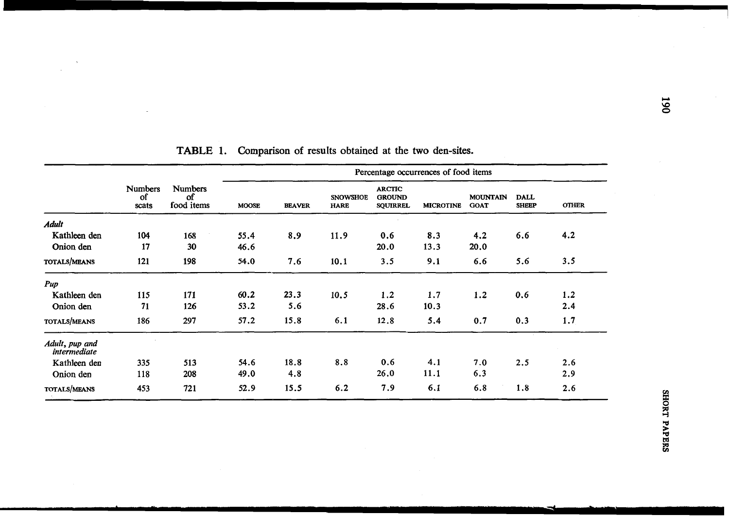|                                | <b>Numbers</b><br>οf<br>scats | <b>Numbers</b><br>Οf<br>food items | Percentage occurrences of food items |               |                                |                                                   |                  |                                |                             |              |
|--------------------------------|-------------------------------|------------------------------------|--------------------------------------|---------------|--------------------------------|---------------------------------------------------|------------------|--------------------------------|-----------------------------|--------------|
|                                |                               |                                    | <b>MOOSE</b>                         | <b>BEAVER</b> | <b>SNOWSHOE</b><br><b>HARE</b> | <b>ARCTIC</b><br><b>GROUND</b><br><b>SQUIRREL</b> | <b>MICROTINE</b> | <b>MOUNTAIN</b><br><b>GOAT</b> | <b>DALL</b><br><b>SHEEP</b> | <b>OTHER</b> |
| <b>Adult</b>                   |                               |                                    |                                      |               |                                |                                                   |                  |                                |                             |              |
| Kathleen den                   | 104                           | 168                                | 55.4                                 | 8.9           | 11.9                           | 0.6                                               | 8.3              | 4.2                            | 6.6                         | 4.2          |
| Onion den                      | 17                            | 30                                 | 46.6                                 |               |                                | 20.0                                              | 13.3             | 20.0                           |                             |              |
| <b>TOTALS/MEANS</b>            | 121                           | 198                                | 54.0                                 | 7.6           | 10.1                           | 3.5                                               | 9.1              | 6.6                            | 5.6                         | 3.5          |
| Pup                            |                               |                                    |                                      |               |                                |                                                   |                  |                                |                             |              |
| Kathleen den                   | 115                           | 171                                | 60.2                                 | 23.3          | 10.5                           | 1.2                                               | 1.7              | 1.2                            | 0.6                         | 1.2          |
| Onion den                      | 71                            | 126                                | 53.2                                 | 5.6           |                                | 28.6                                              | 10.3             |                                |                             | 2.4          |
| TOTALS/MEANS                   | 186                           | 297                                | 57.2                                 | 15.8          | 6.1                            | 12.8                                              | 5.4              | 0.7                            | 0.3                         | 1.7          |
| Adult, pup and<br>intermediate |                               |                                    |                                      |               |                                |                                                   |                  |                                |                             |              |
| Kathleen den                   | 335                           | 513                                | 54.6                                 | 18.8          | 8.8                            | 0.6                                               | 4.1              | 7.0                            | 2.5                         | 2.6          |
| Onion den                      | 118                           | 208                                | 49.0                                 | 4.8           |                                | 26.0                                              | 11.1             | 6.3                            |                             | 2.9          |
| TOTALS/MEANS                   | 453                           | 721                                | 52.9                                 | 15.5          | 6.2                            | 7.9                                               | 6.1              | 6.8                            | 1.8                         | 2.6          |

**TABLE 1. Comparison of** results obtained **at** the two den-sites.